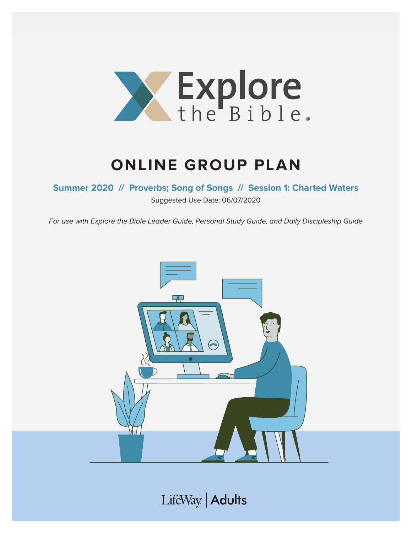

# **ONLINE GROUP PLAN**

**Summer 2020 // Proverbs; Song of Songs // Session 1: Charted Waters** 

Suggested Use Date: 06/07/2020

For use with Explore the Bible Leader Guide, Personal Study Guide, and Daily Discipleship Guide



LifeWay | Adults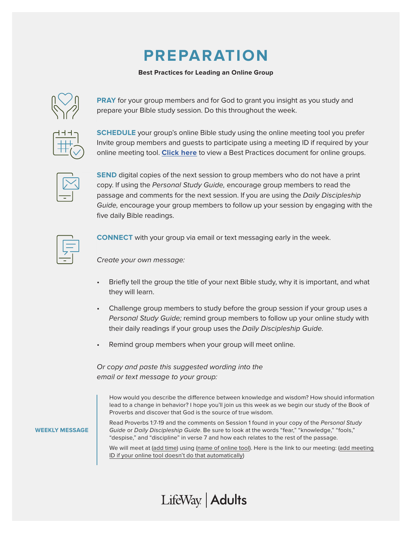## **PREPARATION**

#### **Best Practices for Leading an Online Group**



**PRAY** for your group members and for God to grant you insight as you study and prepare your Bible study session. Do this throughout the week.

**SCHEDULE** your group's online Bible study using the online meeting tool you prefer Invite group members and guests to participate using a meeting ID if required by your online meeting tool. **[Click here](https://s3.amazonaws.com/LWbranding/bsfl2019/2020/04/Online_Bible_Study_Best_Practices.pdf)** to view a Best Practices document for online groups.



**SEND** digital copies of the next session to group members who do not have a print copy. If using the Personal Study Guide, encourage group members to read the passage and comments for the next session. If you are using the Daily Discipleship Guide, encourage your group members to follow up your session by engaging with the five daily Bible readings.



**CONNECT** with your group via email or text messaging early in the week.

Create your own message:

- Briefly tell the group the title of your next Bible study, why it is important, and what they will learn.
- Challenge group members to study before the group session if your group uses a Personal Study Guide; remind group members to follow up your online study with their daily readings if your group uses the Daily Discipleship Guide.
- Remind group members when your group will meet online.

Or copy and paste this suggested wording into the email or text message to your group:

How would you describe the difference between knowledge and wisdom? How should information lead to a change in behavior? I hope you'll join us this week as we begin our study of the Book of Proverbs and discover that God is the source of true wisdom.

**WEEKLY MESSAGE**

Read Proverbs 1:7-19 and the comments on Session 1 found in your copy of the Personal Study Guide or Daily Discipleship Guide. Be sure to look at the words "fear," "knowledge," "fools," "despise," and "discipline" in verse 7 and how each relates to the rest of the passage.

We will meet at (add time) using (name of online tool). Here is the link to our meeting: (add meeting ID if your online tool doesn't do that automatically)

### LifeWay | Adults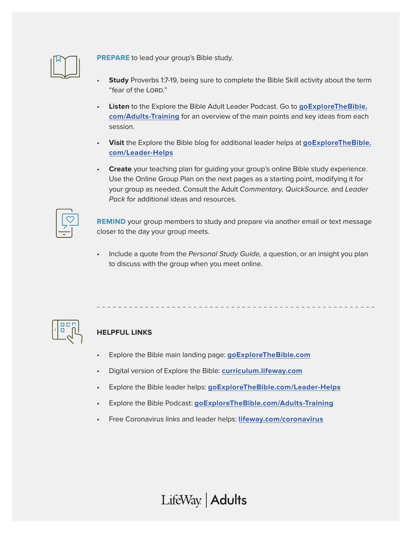

**PREPARE** to lead your group's Bible study.

- **Study** Proverbs 1:7-19, being sure to complete the Bible Skill activity about the term "fear of the LORD."
- **Listen** to the Explore the Bible Adult Leader Podcast. Go to **[goExploreTheBible.](https://goexplorethebible.com/adults-training/) [com/Adults-Training](https://goexplorethebible.com/adults-training/)** for an overview of the main points and key ideas from each session.
- **Visit** the Explore the Bible blog for additional leader helps at **[goExploreTheBible.](https://goexplorethebible.com/blog/) [com/L](https://goexplorethebible.com/blog/)eader-Helps**
- **Create** your teaching plan for guiding your group's online Bible study experience. Use the Online Group Plan on the next pages as a starting point, modifying it for your group as needed. Consult the Adult Commentary, QuickSource, and Leader Pack for additional ideas and resources.

**REMIND** your group members to study and prepare via another email or text message closer to the day your group meets.

Include a quote from the Personal Study Guide, a question, or an insight you plan to discuss with the group when you meet online.



### **HELPFUL LINKS**

- Explore the Bible main landing page: **[goExploreTheBible.com](https://goexplorethebible.com/)**
- Digital version of Explore the Bible: **[curriculum.lifeway.com](https://curriculum.lifeway.com/#/)**
- Explore the Bible leader helps: **[goExploreTheBible.com/L](https://goexplorethebible.com/blog/)eader-Helps**
- Explore the Bible Podcast: **[goExploreTheBible.com/Adults-Training](https://goexplorethebible.com/adults-training/)**
- Free Coronavirus links and leader helps: **[lifeway.com/coronavirus](https://www.lifeway.com/coronavirus)**

LifeWay | Adults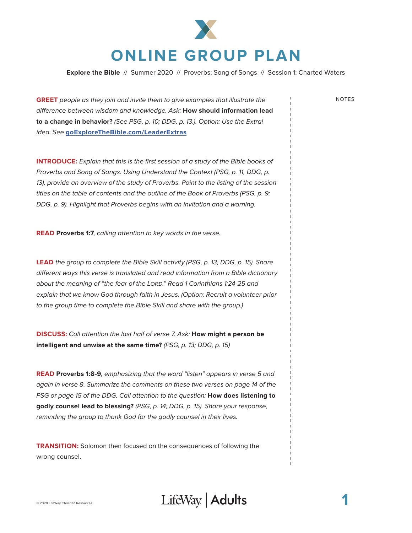

**Explore the Bible** // Summer 2020 // Proverbs; Song of Songs // Session 1: Charted Waters

**GREET** people as they join and invite them to give examples that illustrate the NOTES difference between wisdom and knowledge. Ask: **How should information lead to a change in behavior?** (See PSG, p. 10; DDG, p. 13.). Option: Use the Extra! idea. See **[goExploreTheBible.com/LeaderExtras](https://goexplorethebible.com/leaderextras/)**

**INTRODUCE:** Explain that this is the first session of a study of the Bible books of Proverbs and Song of Songs. Using Understand the Context (PSG, p. 11, DDG, p. 13), provide an overview of the study of Proverbs. Point to the listing of the session titles on the table of contents and the outline of the Book of Proverbs (PSG, p. 9; DDG, p. 9). Highlight that Proverbs begins with an invitation and a warning.

**READ Proverbs 1:7**, calling attention to key words in the verse.

**LEAD** the group to complete the Bible Skill activity (PSG, p. 13, DDG, p. 15). Share different ways this verse is translated and read information from a Bible dictionary about the meaning of "the fear of the LORD." Read 1 Corinthians 1:24-25 and explain that we know God through faith in Jesus. (Option: Recruit a volunteer prior to the group time to complete the Bible Skill and share with the group.)

**DISCUSS:** Call attention the last half of verse 7. Ask: **How might a person be intelligent and unwise at the same time?** (PSG, p. 13; DDG, p. 15)

**READ Proverbs 1:8-9**, emphasizing that the word "listen" appears in verse 5 and again in verse 8. Summarize the comments on these two verses on page 14 of the PSG or page 15 of the DDG. Call attention to the question: **How does listening to godly counsel lead to blessing?** (PSG, p. 14; DDG, p. 15). Share your response, reminding the group to thank God for the godly counsel in their lives.

**TRANSITION:** Solomon then focused on the consequences of following the wrong counsel.

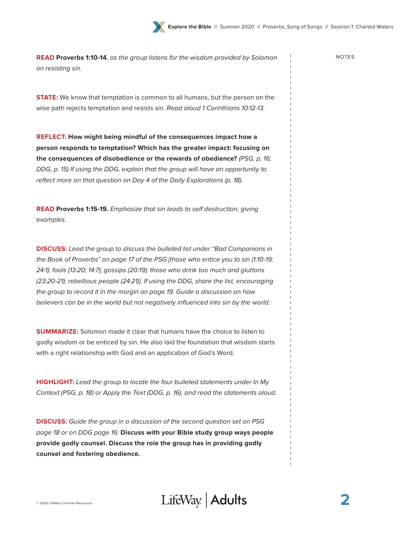**READ Proverbs 1:10-14**, as the group listens for the wisdom provided by Solomon NOTES on resisting sin.

**STATE:** We know that temptation is common to all humans, but the person on the wise path rejects temptation and resists sin. Read aloud 1 Corinthians 10:12-13.

**REFLECT: How might being mindful of the consequences impact how a person responds to temptation? Which has the greater impact: focusing on the consequences of disobedience or the rewards of obedience?** (PSG, p. 16; DDG, p. 15) If using the DDG, explain that the group will have an opportunity to reflect more on that question on Day 4 of the Daily Explorations (p. 18).

**READ Proverbs 1:15-19.** Emphasize that sin leads to self destruction, giving examples.

**DISCUSS:** Lead the group to discuss the bulleted list under "Bad Companions in the Book of Proverbs" on page 17 of the PSG [those who entice you to sin (1:10-19; 24:1); fools (13:20; 14:7); gossips (20:19); those who drink too much and gluttons (23:20-21); rebellious people (24:21)]. If using the DDG, share the list, encouraging the group to record it in the margin on page 19. Guide a discussion on how believers can be in the world but not negatively influenced into sin by the world.

**SUMMARIZE:** Solomon made it clear that humans have the choice to listen to godly wisdom or be enticed by sin. He also laid the foundation that wisdom starts with a right relationship with God and an application of God's Word.

**HIGHLIGHT:** Lead the group to locate the four bulleted statements under In My Context (PSG, p. 18) or Apply the Text (DDG, p. 16), and read the statements aloud.

**DISCUSS:** Guide the group in a discussion of the second question set on PSG page 18 or on DDG page 16: **Discuss with your Bible study group ways people provide godly counsel. Discuss the role the group has in providing godly counsel and fostering obedience.**